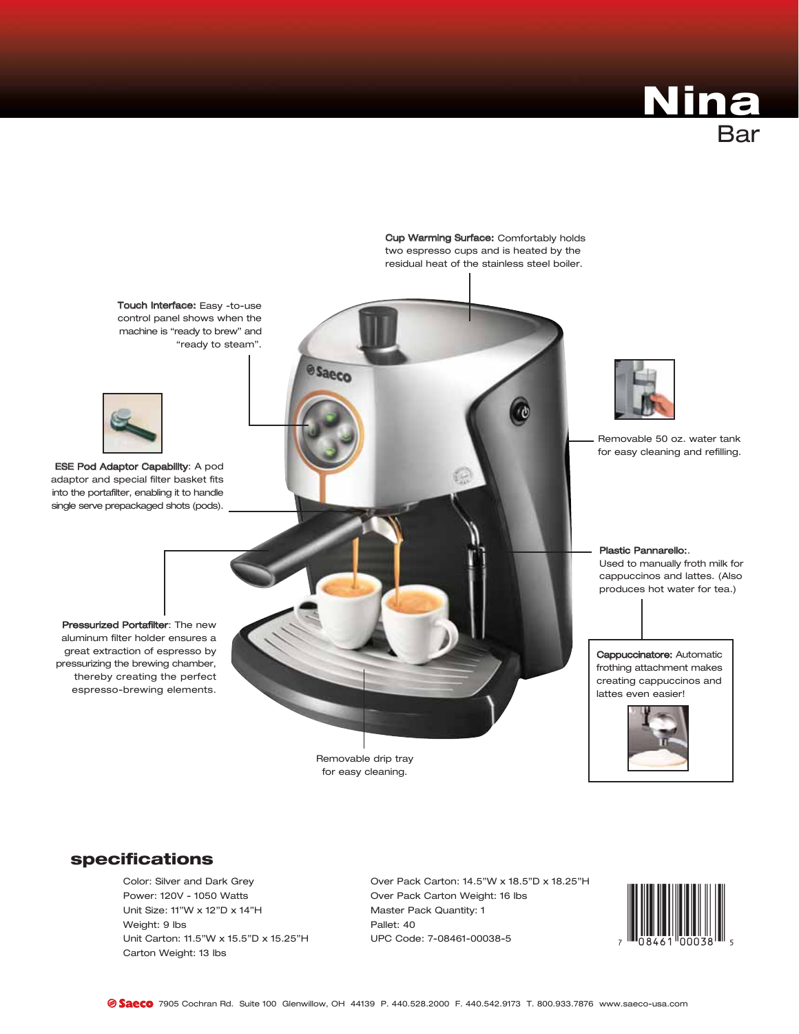



## specifications

Color: Silver and Dark Grey Power: 120V - 1050 Watts Unit Size: 11"W x 12"D x 14"H Weight: 9 lbs Unit Carton: 11.5"W x 15.5"D x 15.25"H Carton Weight: 13 lbs

Over Pack Carton: 14.5"W x 18.5"D x 18.25"H Over Pack Carton Weight: 16 lbs Master Pack Quantity: 1 Pallet: 40 UPC Code: 7-08461-00038-5